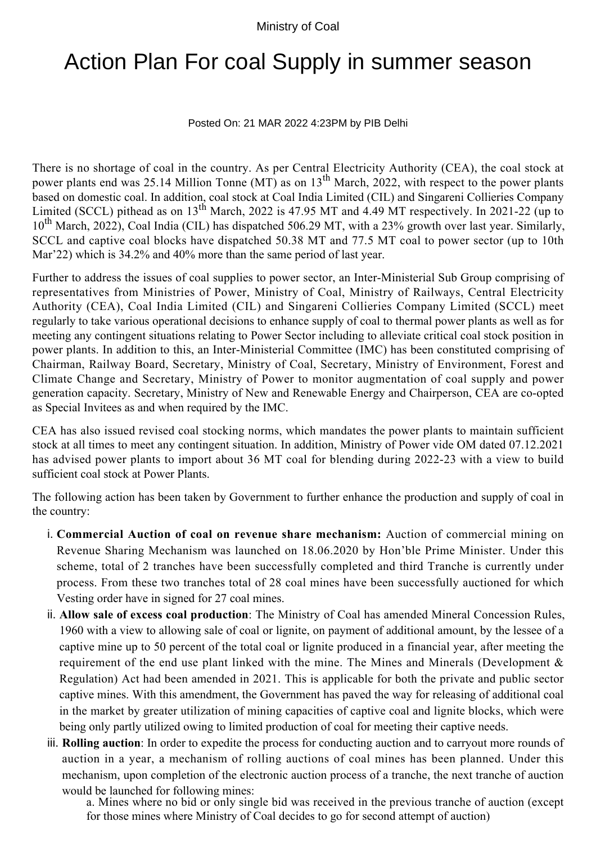## Ministry of Coal

## Action Plan For coal Supply in summer season

## Posted On: 21 MAR 2022 4:23PM by PIB Delhi

There is no shortage of coal in the country. As per Central Electricity Authority (CEA), the coal stock at power plants end was 25.14 Million Tonne (MT) as on 13<sup>th</sup> March, 2022, with respect to the power plants based on domestic coal. In addition, coal stock at Coal India Limited (CIL) and Singareni Collieries Company Limited (SCCL) pithead as on 13<sup>th</sup> March, 2022 is 47.95 MT and 4.49 MT respectively. In 2021-22 (up to 10<sup>th</sup> March, 2022), Coal India (CIL) has dispatched 506.29 MT, with a 23% growth over last year. Similarly, SCCL and captive coal blocks have dispatched 50.38 MT and 77.5 MT coal to power sector (up to 10th Mar'22) which is 34.2% and 40% more than the same period of last year.

Further to address the issues of coal supplies to power sector, an Inter-Ministerial Sub Group comprising of representatives from Ministries of Power, Ministry of Coal, Ministry of Railways, Central Electricity Authority (CEA), Coal India Limited (CIL) and Singareni Collieries Company Limited (SCCL) meet regularly to take various operational decisions to enhance supply of coal to thermal power plants as well as for meeting any contingent situations relating to Power Sector including to alleviate critical coal stock position in power plants. In addition to this, an Inter-Ministerial Committee (IMC) has been constituted comprising of Chairman, Railway Board, Secretary, Ministry of Coal, Secretary, Ministry of Environment, Forest and Climate Change and Secretary, Ministry of Power to monitor augmentation of coal supply and power generation capacity. Secretary, Ministry of New and Renewable Energy and Chairperson, CEA are co-opted as Special Invitees as and when required by the IMC.

CEA has also issued revised coal stocking norms, which mandates the power plants to maintain sufficient stock at all times to meet any contingent situation. In addition, Ministry of Power vide OM dated 07.12.2021 has advised power plants to import about 36 MT coal for blending during 2022-23 with a view to build sufficient coal stock at Power Plants.

The following action has been taken by Government to further enhance the production and supply of coal in the country:

- **Commercial Auction of coal on revenue share mechanism:** Auction of commercial mining on i. Revenue Sharing Mechanism was launched on 18.06.2020 by Hon'ble Prime Minister. Under this scheme, total of 2 tranches have been successfully completed and third Tranche is currently under process. From these two tranches total of 28 coal mines have been successfully auctioned for which Vesting order have in signed for 27 coal mines.
- ii. Allow sale of excess coal production: The Ministry of Coal has amended Mineral Concession Rules, 1960 with a view to allowing sale of coal or lignite, on payment of additional amount, by the lessee of a captive mine up to 50 percent of the total coal or lignite produced in a financial year, after meeting the requirement of the end use plant linked with the mine. The Mines and Minerals (Development & Regulation) Act had been amended in 2021. This is applicable for both the private and public sector captive mines. With this amendment, the Government has paved the way for releasing of additional coal in the market by greater utilization of mining capacities of captive coal and lignite blocks, which were being only partly utilized owing to limited production of coal for meeting their captive needs.
- iii. Rolling auction: In order to expedite the process for conducting auction and to carryout more rounds of auction in a year, a mechanism of rolling auctions of coal mines has been planned. Under this mechanism, upon completion of the electronic auction process of a tranche, the next tranche of auction would be launched for following mines:

a. Mines where no bid or only single bid was received in the previous tranche of auction (except for those mines where Ministry of Coal decides to go for second attempt of auction)